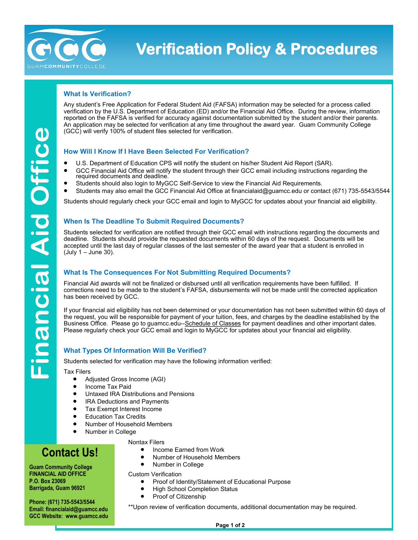

## **Verification Policy & Procedures**

### **What Is Verification?**

Any student's Free Application for Federal Student Aid (FAFSA) information may be selected for a process called verification by the U.S. Department of Education (ED) and/or the Financial Aid Office. During the review, information reported on the FAFSA is verified for accuracy against documentation submitted by the student and/or their parents. An application may be selected for verification at any time throughout the award year. Guam Community College (GCC) will verify 100% of student files selected for verification.

### **How Will I Know If I Have Been Selected For Verification?**

- U.S. Department of Education CPS will notify the student on his/her [Student Aid Report \(SAR\).](http://www.studentaid.ed.gov/sa/fafsa/next-steps/student-aid-report)
- GCC [Financial Aid Office](https://www.cccc.edu/financialaid/) will notify the student through their GCC email including instructions regarding the required documents and deadline.
- Students should also login to MyGCC Self-Service to view the Financial Aid Requirements.
- Students may also email the GCC Financial Aid Office at financialaid@guamcc.edu or contact (671) 735-5543/5544

Students should regularly check your GCC email and login to MyGCC for updates about your financial aid eligibility.

### **When Is The Deadline To Submit Required Documents?**

Students selected for verification are notified through their GCC email with instructions regarding the documents and deadline. Students should provide the requested documents within 60 days of the request. Documents will be accepted until the last day of regular classes of the last semester of the award year that a student is enrolled in (July 1 – June 30).

### **What Is The Consequences For Not Submitting Required Documents?**

Financial Aid awards will not be finalized or disbursed until all verification requirements have been fulfilled. If corrections need to be made to the student's FAFSA, disbursements will not be made until the corrected application has been received by GCC.

If your financial aid eligibility has not been determined or your documentation has not been submitted within 60 days of the request, you will be responsible for payment of your tuition, fees, and charges by the deadline established by the Business Office. Please go to guamcc.edu--Schedule of Classes for payment deadlines and other important dates. Please regularly check your GCC email and login to MyGCC for updates about your financial aid eligibility.

### **What Types Of Information Will Be Verified?**

Students selected for verification may have the following information verified:

Tax Filers

- Adjusted Gross Income (AGI)
- Income Tax Paid
- Untaxed IRA Distributions and Pensions
- IRA Deductions and Payments
- Tax Exempt Interest Income
- Education Tax Credits
- Number of Household Members
- Number in College

Nontax Filers

### **Contact Us!**

**Guam Community College FINANCIAL AID OFFICE P.O. Box 23069 Barrigada, Guam 96921**

**Phone: (671) 735-5543/5544 Email: financialaid@guamcc.edu GCC Website: www.guamcc.edu** Custom Verification

- Proof of Identity/Statement of Educational Purpose
- High School Completion Status

• Income Earned from Work • Number of Household Members

• Proof of Citizenship

• Number in College

\*\*Upon review of verification documents, additional documentation may be required.